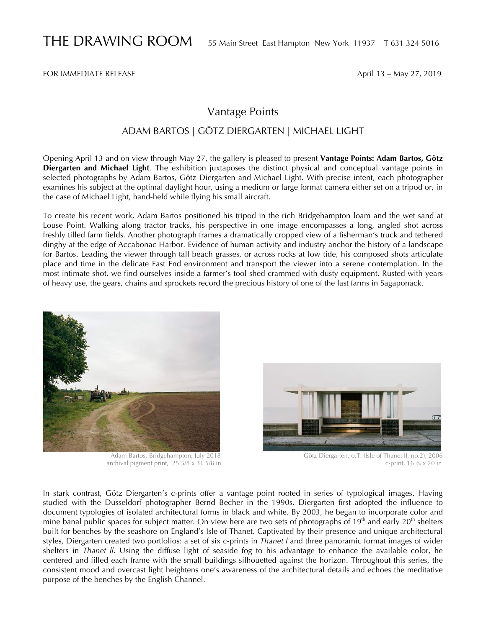FOR IMMEDIATE RELEASE April 13 – May 27, 2019

## Vantage Points

## ADAM BARTOS | GÖTZ DIERGARTEN | MICHAEL LIGHT

Opening April 13 and on view through May 27, the gallery is pleased to present **Vantage Points: Adam Bartos, Götz Diergarten and Michael Light***.* The exhibition juxtaposes the distinct physical and conceptual vantage points in selected photographs by Adam Bartos, Götz Diergarten and Michael Light. With precise intent, each photographer examines his subject at the optimal daylight hour, using a medium or large format camera either set on a tripod or, in the case of Michael Light, hand-held while flying his small aircraft.

To create his recent work, Adam Bartos positioned his tripod in the rich Bridgehampton loam and the wet sand at Louse Point. Walking along tractor tracks, his perspective in one image encompasses a long, angled shot across freshly tilled farm fields. Another photograph frames a dramatically cropped view of a fisherman's truck and tethered dinghy at the edge of Accabonac Harbor. Evidence of human activity and industry anchor the history of a landscape for Bartos. Leading the viewer through tall beach grasses, or across rocks at low tide, his composed shots articulate place and time in the delicate East End environment and transport the viewer into a serene contemplation. In the most intimate shot, we find ourselves inside a farmer's tool shed crammed with dusty equipment. Rusted with years of heavy use, the gears, chains and sprockets record the precious history of one of the last farms in Sagaponack.





 Adam Bartos, Bridgehampton, July 2018 Götz Diergarten, o.T. (Isle of Thanet II, no.2), 2006 archival pigment print,  $25\frac{5}{8} \times 31\frac{5}{8}$  in

In stark contrast, Götz Diergarten's c-prints offer a vantage point rooted in series of typological images. Having studied with the Dusseldorf photographer Bernd Becher in the 1990s, Diergarten first adopted the influence to document typologies of isolated architectural forms in black and white. By 2003, he began to incorporate color and mine banal public spaces for subject matter. On view here are two sets of photographs of  $19<sup>th</sup>$  and early  $20<sup>th</sup>$  shelters built for benches by the seashore on England's Isle of Thanet. Captivated by their presence and unique architectural styles, Diergarten created two portfolios: a set of six c-prints in *Thanet l* and three panoramic format images of wider shelters in *Thanet ll*. Using the diffuse light of seaside fog to his advantage to enhance the available color, he centered and filled each frame with the small buildings silhouetted against the horizon. Throughout this series, the consistent mood and overcast light heightens one's awareness of the architectural details and echoes the meditative purpose of the benches by the English Channel.